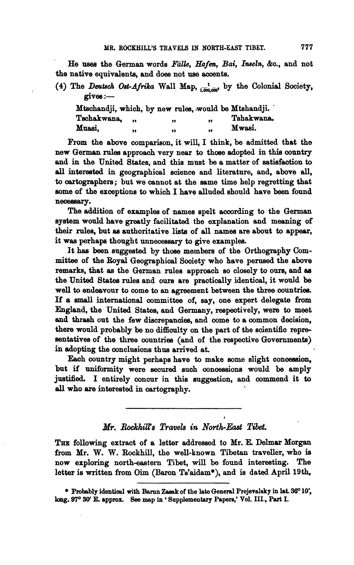He rises the German words *Falle, Hafen,* Bai, **Ineeln,** ba., and not the native equivalents, and does not **use** aocents.

(4) The *Deutsch Ost-Afrika* Wall Map,  $\frac{1}{1.000,000}$  by the Colonial Society, gives :-

|             |    | Mtschandji, which, by new rules, would be Mtshandji. |    |            |
|-------------|----|------------------------------------------------------|----|------------|
| Tschakwana. |    | ,,                                                   | 99 | Tshakwana. |
| Muasi.      | ,, | ,,                                                   | 99 | Mwasi.     |

From the above comparison, it will, I think, be admitted that the new German rules approach very near to those adopted in this country and in the United States, and this must be a matter of satisfaction to all interested in geographical science and literature, and, above all, to cartographers; but we cannot at the same time help regretting that some of the exceptions to which I have alluded should have been found necessary.

The addition of examples of names spelt according to the German system would have greatly facilitated the explanation and meaning of their rules, but as authoritative lists of all names are about to appear, it was perhaps thought unnecessary to give examples.

It **hae** been suggested by those members of the Orthography Com**mittee** of the **Boyd** Geographical Sooietr who have perneed the above remarks, that as the German rules approach so closely to om, **and** as the United States rules and ours are praotically identical, it would be well to endeavour to come to an agreement between the three countries. If a small international committee of, say, one expert delegate from England, the United Statea, and Qermany, reepeotively, were to meet and thrash out the few discrepancies, and come to a common decision, there would probably be no difficulty on the part of the scientific representatives of the three countries (and of the respective Governments) in adopting the conclusions thus arrived at.

Each country might perhaps have to make some slight concession, but if uniformity were secured such concessions would be amply justified. I entirely concur in this suggestion, and commend it to **all** who are interested in cartography.

## *Mr. Rockhips Travets* **in** *NortbEast Tibet.*

**I** 

THE following extract of a letter addressed to Mr. E. Delmar Morgan from Mr. W. W. **Rockhill,** the well-known Tibetan traveller, who is now exploring north-eastern Tibet, will be found interesting. The letter is written from Oim (Baron Ts'aidam\*), and is dated April 19th,

\* Probably identical with Barun Zasak of the late General Prejevalsky in lat. 36° 10', **hg. 97' 30' E, appro=** See **map in** ' **Supplementary Papers,' Vol.** III., **Part** I.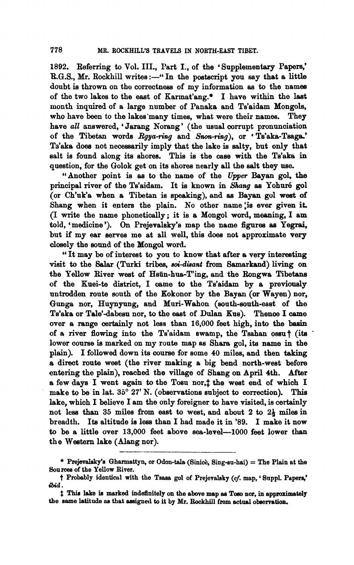1892. Referring to Vol. III., Part I., of the 'Supplementary Papers,' **R.G.S., Mr. Rockhill writes :-''** In the postscript you say that a little doubt is thrown on the correctness of my information as to the names of the two lakes to the east of Karmat'ang.\* I have within the laat month inquired of a large number of Panaka and Ts'aidam Mongols, who have been to the lakes'many times, what were their names. They have all answered, 'Jarang Norang' (the usual corrupt pronunciation of the Tibetan worde **Rgya-ring** and Snon-ring), or ' Ts'aka-Tsaga.' Ta'aka doe8 not necessarily imply that the lake is salty, but only that salt is found along its shores. This is the case with the Ts'aka in question, for the Golok get on its shores nearly all the salt they **me.** 

"Another point is **as** to the name of the Upper Bayan gol, **the**  principal river of the Ts'aidam. It is known in Shang as Yohuré gol (or Ch'uk'a when a Tibetan is speaking), and **as** Bayan go1 west of Shang when it enters the plain. No other name is ever given it. (I write the name phonetically ; it is a Mongol word, meaning, I am told, 'medicine'). On Prejevalsky's map the name figures **ae** Yegrai, but if my ear serves me at all well, this does not approximate very closely the sound of the Mongol word.

"It may be of interest to you to know that after a very intereating visit to the Salar (Turki tribes, soi-disant from Samarkand) living on the Fellow River west of Hsiin-hua-T'ing, and the Rongwa Tibetans of the Kuei-te district, I came to the Ts'aidam by a previously untrodden route south of the Kokonor by the Bayan (or Wayen) nor, Gunga nor, Huynyung, and Muri-Wahon (south-south-east of the Ts'aka or Tale'dabesu nor, to the east of Dulan Kus). Thence I **oame**  over a range certainly not less than 16,000 feet high, into the **baain**  of a river flowing into the Ts'aidam swamp, the Tsahan ossnt **(ita** ' lower course is marked on my route map **as** Sham gol, its name in the plain). I followed down its course for some 40 miles, and then taking a direct route west (the river making a big bend north-west before entering the plain), reached the village of Shang on April 4th. After a few days I went again to the Tosu nor, t the west end of which I make to be in lat. **35' 27'** N. (observations subject to correction). This lake, which I believe I am the only foreigner to have visited, is certainly not lese than 35 miles from east to west, and about **2** to **2b miles** in breadth. Its altitude is less than I had made it in **'89.** I make it now to be a little over 13,000 feet above sea-level-1000 feet lower than the Western lake (Alang nor).

<sup>\*</sup> Prejevalaky's Gharmattyn, or Odon-tala (Sinice, Sing-su-hai) = The Plain at the **Sourea of the Yellow River.** 

 $\dagger$  Probably identical with the Tsasa gol of Prejevalsky (cf. map, 'Suppl. Papers,' **ibid.** 

 $\dagger$  This lake is marked indefinitely on the above map as Toso nor, in approximately **the name latitude os that dgnal to it by Mr.** Bockhill **fmm actual obeervation.**